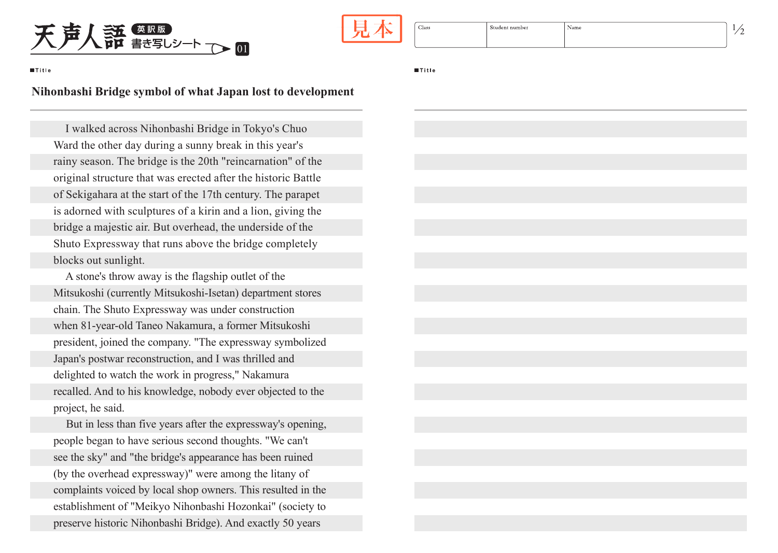

| Class | Student number | √ame |
|-------|----------------|------|
|       |                |      |

**Title** 

I walked across Nihonbashi Bridge in Tokyo's Chuo Ward the other day during a sunny break in this year's rainy season. The bridge is the 20th "reincarnation" of the original structure that was erected after the historic Battle of Sekigahara at the start of the 17th century. The parapet is adorned with sculptures of a kirin and a lion, giving the bridge a majestic air. But overhead, the underside of the Shuto Expressway that runs above the bridge completely blocks out sunlight.

A stone's throw away is the flagship outlet of the Mitsukoshi (currently Mitsukoshi-Isetan) department stores chain. The Shuto Expressway was under construction when 81-year-old Taneo Nakamura, a former Mitsukoshi president, joined the company. "The expressway symbolized Japan's postwar reconstruction, and I was thrilled and delighted to watch the work in progress," Nakamura recalled. And to his knowledge, nobody ever objected to the project, he said.

But in less than five years after the expressway's opening, people began to have serious second thoughts. "We can't see the sky" and "the bridge's appearance has been ruined (by the overhead expressway)" were among the litany of complaints voiced by local shop owners. This resulted in the establishment of "Meikyo Nihonbashi Hozonkai" (society to preserve historic Nihonbashi Bridge). And exactly 50 years

**Title** 

|   |  | I<br>I |  |
|---|--|--------|--|
| × |  |        |  |
|   |  |        |  |
|   |  |        |  |

## **Nihonbashi Bridge symbol of what Japan lost to development**

01